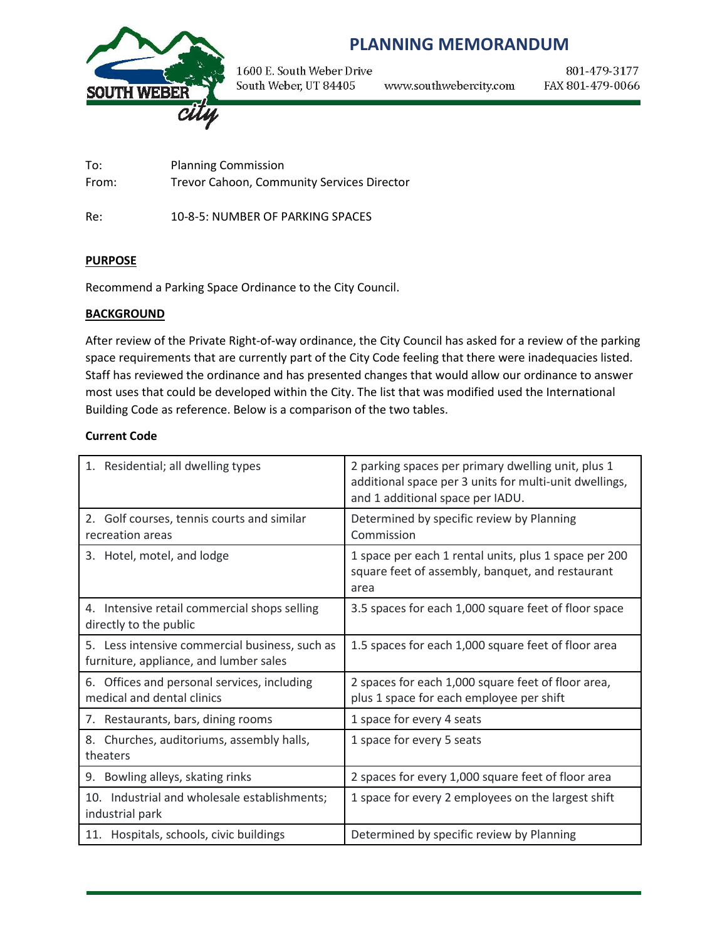

# **PLANNING MEMORANDUM**

1600 E. South Weber Drive South Weber, UT 84405 www.southwebercity.com

801-479-3177 FAX 801-479-0066

To: Planning Commission From: Trevor Cahoon, Community Services Director

Re: 10-8-5: NUMBER OF PARKING SPACES

### **PURPOSE**

Recommend a Parking Space Ordinance to the City Council.

#### **BACKGROUND**

After review of the Private Right-of-way ordinance, the City Council has asked for a review of the parking space requirements that are currently part of the City Code feeling that there were inadequacies listed. Staff has reviewed the ordinance and has presented changes that would allow our ordinance to answer most uses that could be developed within the City. The list that was modified used the International Building Code as reference. Below is a comparison of the two tables.

#### **Current Code**

| 1. Residential; all dwelling types                                                       | 2 parking spaces per primary dwelling unit, plus 1<br>additional space per 3 units for multi-unit dwellings,<br>and 1 additional space per IADU. |  |  |
|------------------------------------------------------------------------------------------|--------------------------------------------------------------------------------------------------------------------------------------------------|--|--|
| 2. Golf courses, tennis courts and similar<br>recreation areas                           | Determined by specific review by Planning<br>Commission                                                                                          |  |  |
| 3. Hotel, motel, and lodge                                                               | 1 space per each 1 rental units, plus 1 space per 200<br>square feet of assembly, banquet, and restaurant<br>area                                |  |  |
| 4. Intensive retail commercial shops selling<br>directly to the public                   | 3.5 spaces for each 1,000 square feet of floor space                                                                                             |  |  |
| 5. Less intensive commercial business, such as<br>furniture, appliance, and lumber sales | 1.5 spaces for each 1,000 square feet of floor area                                                                                              |  |  |
| Offices and personal services, including<br>6.<br>medical and dental clinics             | 2 spaces for each 1,000 square feet of floor area,<br>plus 1 space for each employee per shift                                                   |  |  |
| 7. Restaurants, bars, dining rooms                                                       | 1 space for every 4 seats                                                                                                                        |  |  |
| 8. Churches, auditoriums, assembly halls,<br>theaters                                    | 1 space for every 5 seats                                                                                                                        |  |  |
| 9. Bowling alleys, skating rinks                                                         | 2 spaces for every 1,000 square feet of floor area                                                                                               |  |  |
| 10. Industrial and wholesale establishments;<br>industrial park                          | 1 space for every 2 employees on the largest shift                                                                                               |  |  |
| 11. Hospitals, schools, civic buildings                                                  | Determined by specific review by Planning                                                                                                        |  |  |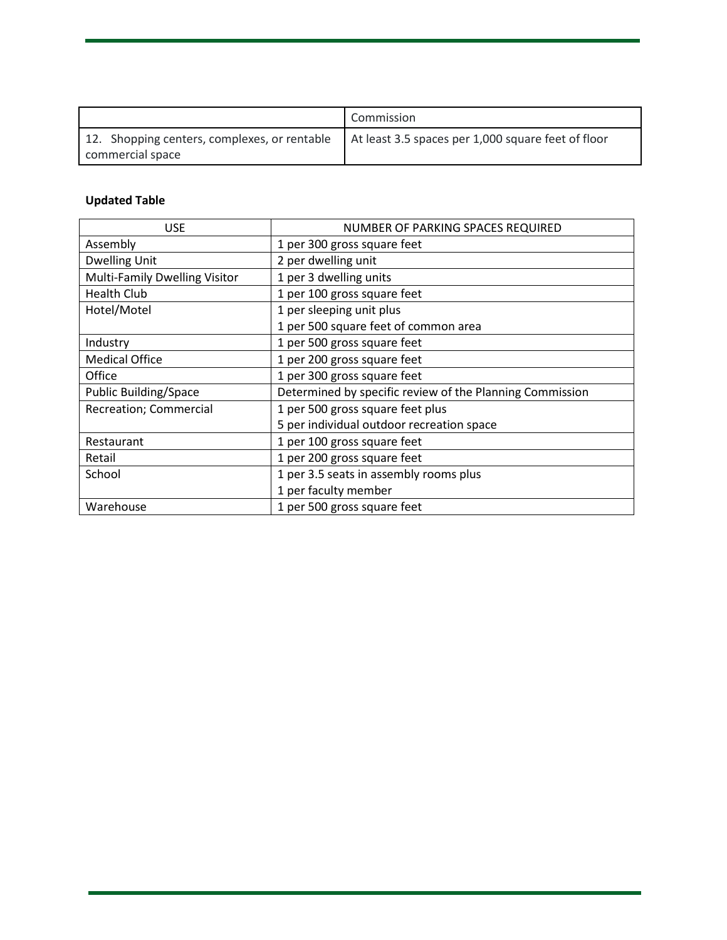|                                              | Commission                                         |
|----------------------------------------------|----------------------------------------------------|
| 12. Shopping centers, complexes, or rentable | At least 3.5 spaces per 1,000 square feet of floor |
| commercial space                             |                                                    |

# **Updated Table**

| <b>USE</b>                    | NUMBER OF PARKING SPACES REQUIRED                        |  |
|-------------------------------|----------------------------------------------------------|--|
| Assembly                      | 1 per 300 gross square feet                              |  |
| <b>Dwelling Unit</b>          | 2 per dwelling unit                                      |  |
| Multi-Family Dwelling Visitor | 1 per 3 dwelling units                                   |  |
| <b>Health Club</b>            | 1 per 100 gross square feet                              |  |
| Hotel/Motel                   | 1 per sleeping unit plus                                 |  |
|                               | 1 per 500 square feet of common area                     |  |
| Industry                      | 1 per 500 gross square feet                              |  |
| <b>Medical Office</b>         | 1 per 200 gross square feet                              |  |
| Office                        | 1 per 300 gross square feet                              |  |
| <b>Public Building/Space</b>  | Determined by specific review of the Planning Commission |  |
| Recreation; Commercial        | 1 per 500 gross square feet plus                         |  |
|                               | 5 per individual outdoor recreation space                |  |
| Restaurant                    | 1 per 100 gross square feet                              |  |
| Retail                        | 1 per 200 gross square feet                              |  |
| School                        | 1 per 3.5 seats in assembly rooms plus                   |  |
|                               | 1 per faculty member                                     |  |
| Warehouse                     | 1 per 500 gross square feet                              |  |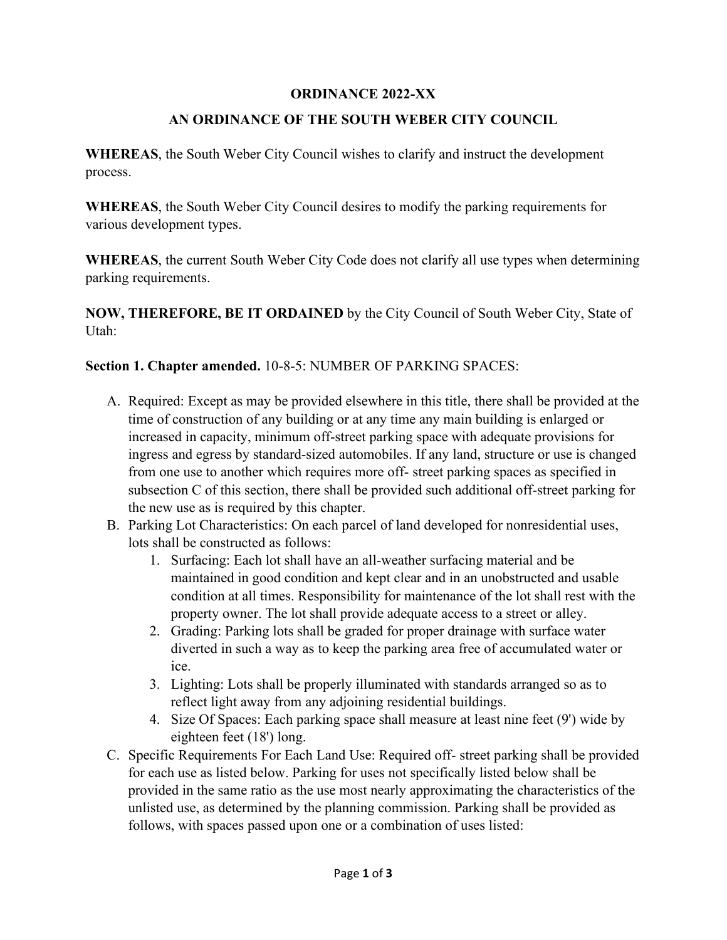### **ORDINANCE 2022-XX**

### **AN ORDINANCE OF THE SOUTH WEBER CITY COUNCIL**

**WHEREAS**, the South Weber City Council wishes to clarify and instruct the development process.

**WHEREAS**, the South Weber City Council desires to modify the parking requirements for various development types.

**WHEREAS**, the current South Weber City Code does not clarify all use types when determining parking requirements.

**NOW, THEREFORE, BE IT ORDAINED** by the City Council of South Weber City, State of Utah:

**Section 1. Chapter amended.** 10-8-5: NUMBER OF PARKING SPACES:

- A. Required: Except as may be provided elsewhere in this title, there shall be provided at the time of construction of any building or at any time any main building is enlarged or increased in capacity, minimum off-street parking space with adequate provisions for ingress and egress by standard-sized automobiles. If any land, structure or use is changed from one use to another which requires more off- street parking spaces as specified in subsection C of this section, there shall be provided such additional off-street parking for the new use as is required by this chapter.
- B. Parking Lot Characteristics: On each parcel of land developed for nonresidential uses, lots shall be constructed as follows:
	- 1. Surfacing: Each lot shall have an all-weather surfacing material and be maintained in good condition and kept clear and in an unobstructed and usable condition at all times. Responsibility for maintenance of the lot shall rest with the property owner. The lot shall provide adequate access to a street or alley.
	- 2. Grading: Parking lots shall be graded for proper drainage with surface water diverted in such a way as to keep the parking area free of accumulated water or ice.
	- 3. Lighting: Lots shall be properly illuminated with standards arranged so as to reflect light away from any adjoining residential buildings.
	- 4. Size Of Spaces: Each parking space shall measure at least nine feet (9') wide by eighteen feet (18') long.
- C. Specific Requirements For Each Land Use: Required off- street parking shall be provided for each use as listed below. Parking for uses not specifically listed below shall be provided in the same ratio as the use most nearly approximating the characteristics of the unlisted use, as determined by the planning commission. Parking shall be provided as follows, with spaces passed upon one or a combination of uses listed: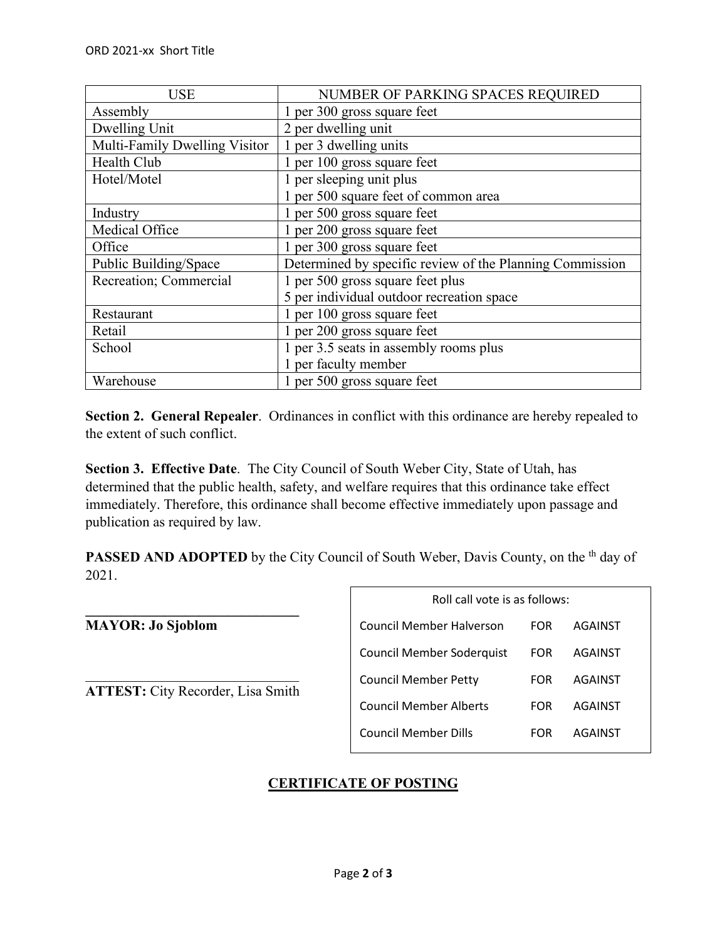| <b>USE</b>                    | NUMBER OF PARKING SPACES REQUIRED                        |  |
|-------------------------------|----------------------------------------------------------|--|
| Assembly                      | 1 per 300 gross square feet                              |  |
| Dwelling Unit                 | 2 per dwelling unit                                      |  |
| Multi-Family Dwelling Visitor | 1 per 3 dwelling units                                   |  |
| Health Club                   | 1 per 100 gross square feet                              |  |
| Hotel/Motel                   | 1 per sleeping unit plus                                 |  |
|                               | 1 per 500 square feet of common area                     |  |
| Industry                      | 1 per 500 gross square feet                              |  |
| Medical Office                | 1 per 200 gross square feet                              |  |
| Office                        | 1 per 300 gross square feet                              |  |
| Public Building/Space         | Determined by specific review of the Planning Commission |  |
| Recreation; Commercial        | 1 per 500 gross square feet plus                         |  |
|                               | 5 per individual outdoor recreation space                |  |
| Restaurant                    | 1 per 100 gross square feet                              |  |
| Retail                        | 1 per 200 gross square feet                              |  |
| School                        | 1 per 3.5 seats in assembly rooms plus                   |  |
|                               | 1 per faculty member                                     |  |
| Warehouse                     | 1 per 500 gross square feet                              |  |

**Section 2. General Repealer**. Ordinances in conflict with this ordinance are hereby repealed to the extent of such conflict.

**Section 3. Effective Date**. The City Council of South Weber City, State of Utah, has determined that the public health, safety, and welfare requires that this ordinance take effect immediately. Therefore, this ordinance shall become effective immediately upon passage and publication as required by law.

**PASSED AND ADOPTED** by the City Council of South Weber, Davis County, on the <sup>th</sup> day of 2021.

**\_\_\_\_\_\_\_\_\_\_\_\_\_\_\_\_\_\_\_\_\_\_\_\_\_\_\_\_\_\_ MAYOR: Jo Sjoblom**

 $\overline{\phantom{a}}$ **ATTEST:** City Recorder, Lisa Smith

| Roll call vote is as follows: |            |         |  |  |  |
|-------------------------------|------------|---------|--|--|--|
| Council Member Halverson      | FOR        | AGAINST |  |  |  |
| Council Member Soderquist     | FOR        | AGAINST |  |  |  |
| <b>Council Member Petty</b>   | <b>FOR</b> | AGAINST |  |  |  |
| Council Member Alberts        | FOR        | AGAINST |  |  |  |
| Council Member Dills          | EOR        | AGAINST |  |  |  |

## **CERTIFICATE OF POSTING**